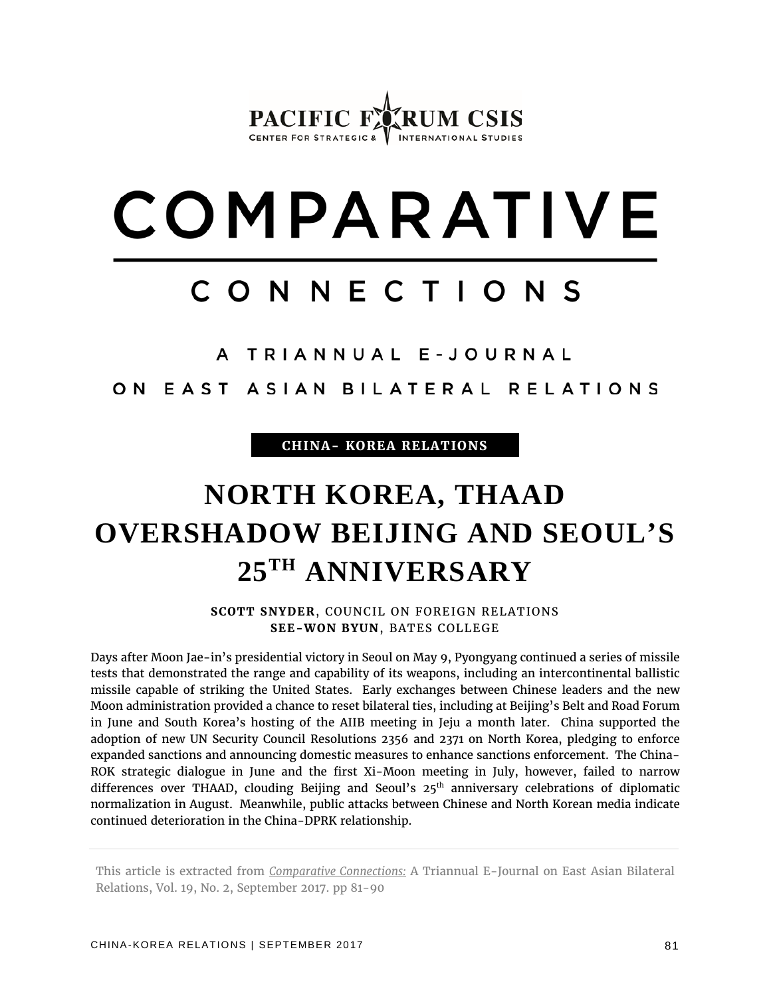### PACIFIC F CENTER FOR STRATEGIC &  $V$  INTERNATIONAL STUDIES

# COMPARATIVE

## CONNECTIONS

A TRIANNUAL E-JOURNAL

ON EAST ASIAN BILATERAL RELATIONS

**CHINA- KOREA RELATIONS**

# **NORTH KOREA, THAAD OVERSHADOW BEIJING AND SEOUL'S 25TH ANNIVERSARY**

**SCOTT SNYDER**, COUNCIL ON FOREIGN RELATIONS **SEE-WON BYUN**, BATES COLLEGE

Days after Moon Jae-in's presidential victory in Seoul on May 9, Pyongyang continued a series of missile tests that demonstrated the range and capability of its weapons, including an intercontinental ballistic missile capable of striking the United States. Early exchanges between Chinese leaders and the new Moon administration provided a chance to reset bilateral ties, including at Beijing's Belt and Road Forum in June and South Korea's hosting of the AIIB meeting in Jeju a month later. China supported the adoption of new UN Security Council Resolutions 2356 and 2371 on North Korea, pledging to enforce expanded sanctions and announcing domestic measures to enhance sanctions enforcement. The China-ROK strategic dialogue in June and the first Xi-Moon meeting in July, however, failed to narrow differences over THAAD, clouding Beijing and Seoul's 25<sup>th</sup> anniversary celebrations of diplomatic normalization in August. Meanwhile, public attacks between Chinese and North Korean media indicate continued deterioration in the China-DPRK relationship.

This article is extracted from *Comparative Connections:* A Triannual E-Journal on East Asian Bilateral Relations, Vol. 19, No. 2, September 2017. pp 81-90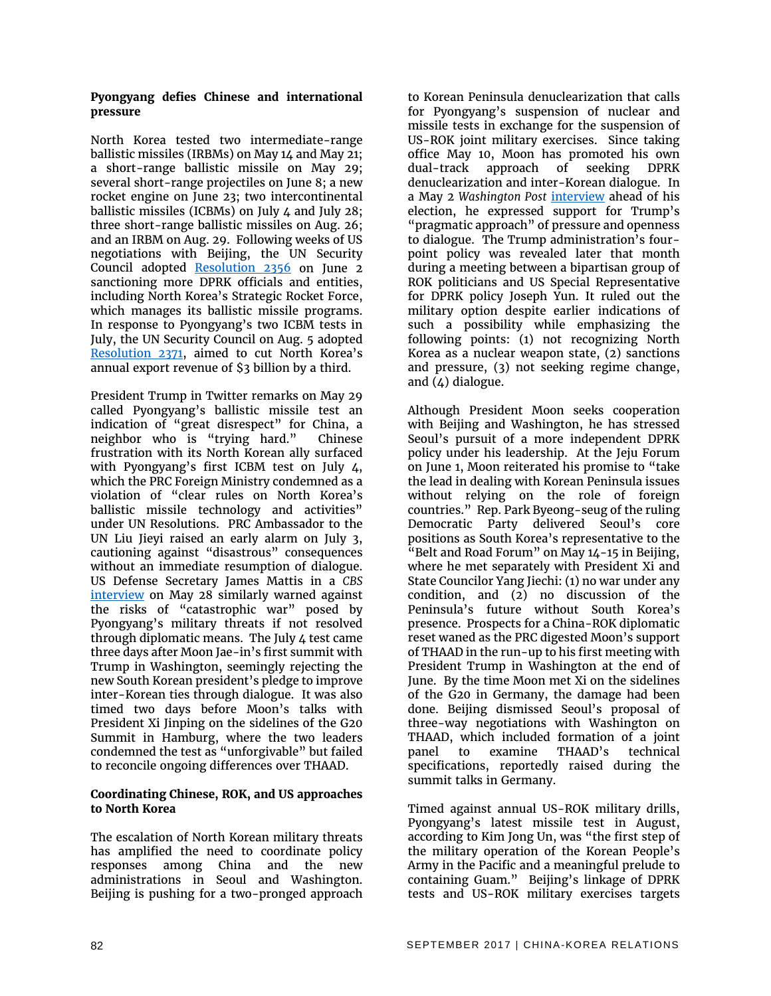#### **Pyongyang defies Chinese and international pressure**

North Korea tested two intermediate-range ballistic missiles (IRBMs) on May 14 and May 21; a short-range ballistic missile on May 29; several short-range projectiles on June 8; a new rocket engine on June 23; two intercontinental ballistic missiles (ICBMs) on July 4 and July 28; three short-range ballistic missiles on Aug. 26; and an IRBM on Aug. 29. Following weeks of US negotiations with Beijing, the UN Security Council adopted [Resolution 2356](https://www.un.org/press/en/2017/sc12853.doc.htm) on June 2 sanctioning more DPRK officials and entities, including North Korea's Strategic Rocket Force, which manages its ballistic missile programs. In response to Pyongyang's two ICBM tests in July, the UN Security Council on Aug. 5 adopted [Resolution 2371,](https://www.un.org/press/en/2017/sc12945.doc.htm) aimed to cut North Korea's annual export revenue of \$3 billion by a third.

President Trump in Twitter remarks on May 29 called Pyongyang's ballistic missile test an indication of "great disrespect" for China, a neighbor who is "trying hard." Chinese frustration with its North Korean ally surfaced with Pyongyang's first ICBM test on July 4, which the PRC Foreign Ministry condemned as a violation of "clear rules on North Korea's ballistic missile technology and activities" under UN Resolutions. PRC Ambassador to the UN Liu Jieyi raised an early alarm on July 3, cautioning against "disastrous" consequences without an immediate resumption of dialogue. US Defense Secretary James Mattis in a *CBS* [interview](https://www.cbsnews.com/news/transcript-defense-secretary-james-mattis-on-face-the-nation-may-28-2017/) on May 28 similarly warned against the risks of "catastrophic war" posed by Pyongyang's military threats if not resolved through diplomatic means. The July 4 test came three days after Moon Jae-in's first summit with Trump in Washington, seemingly rejecting the new South Korean president's pledge to improve inter-Korean ties through dialogue. It was also timed two days before Moon's talks with President Xi Jinping on the sidelines of the G20 Summit in Hamburg, where the two leaders condemned the test as "unforgivable" but failed to reconcile ongoing differences over THAAD.

#### **Coordinating Chinese, ROK, and US approaches to North Korea**

The escalation of North Korean military threats has amplified the need to coordinate policy responses among China and the new administrations in Seoul and Washington. Beijing is pushing for a two-pronged approach to Korean Peninsula denuclearization that calls for Pyongyang's suspension of nuclear and missile tests in exchange for the suspension of US-ROK joint military exercises. Since taking office May 10, Moon has promoted his own dual-track approach of seeking DPRK denuclearization and inter-Korean dialogue. In a May 2 *Washington Post* [interview](https://www.washingtonpost.com/news/worldviews/wp/2017/05/02/interview-with-moon-jae-in-set-to-become-south-koreas-next-president/) ahead of his election, he expressed support for Trump's "pragmatic approach" of pressure and openness to dialogue. The Trump administration's fourpoint policy was revealed later that month during a meeting between a bipartisan group of ROK politicians and US Special Representative for DPRK policy Joseph Yun. It ruled out the military option despite earlier indications of such a possibility while emphasizing the following points: (1) not recognizing North Korea as a nuclear weapon state, (2) sanctions and pressure, (3) not seeking regime change, and  $(4)$  dialogue.

Although President Moon seeks cooperation with Beijing and Washington, he has stressed Seoul's pursuit of a more independent DPRK policy under his leadership. At the Jeju Forum on June 1, Moon reiterated his promise to "take the lead in dealing with Korean Peninsula issues without relying on the role of foreign countries." Rep. Park Byeong-seug of the ruling Democratic Party delivered Seoul's core positions as South Korea's representative to the "Belt and Road Forum" on May 14-15 in Beijing, where he met separately with President Xi and State Councilor Yang Jiechi: (1) no war under any condition, and  $(2)$  no discussion of the Peninsula's future without South Korea's presence. Prospects for a China-ROK diplomatic reset waned as the PRC digested Moon's support of THAAD in the run-up to his first meeting with President Trump in Washington at the end of June. By the time Moon met Xi on the sidelines of the G20 in Germany, the damage had been done. Beijing dismissed Seoul's proposal of three-way negotiations with Washington on THAAD, which included formation of a joint panel to examine THAAD's technical specifications, reportedly raised during the summit talks in Germany.

Timed against annual US-ROK military drills, Pyongyang's latest missile test in August, according to Kim Jong Un, was "the first step of the military operation of the Korean People's Army in the Pacific and a meaningful prelude to containing Guam." Beijing's linkage of DPRK tests and US-ROK military exercises targets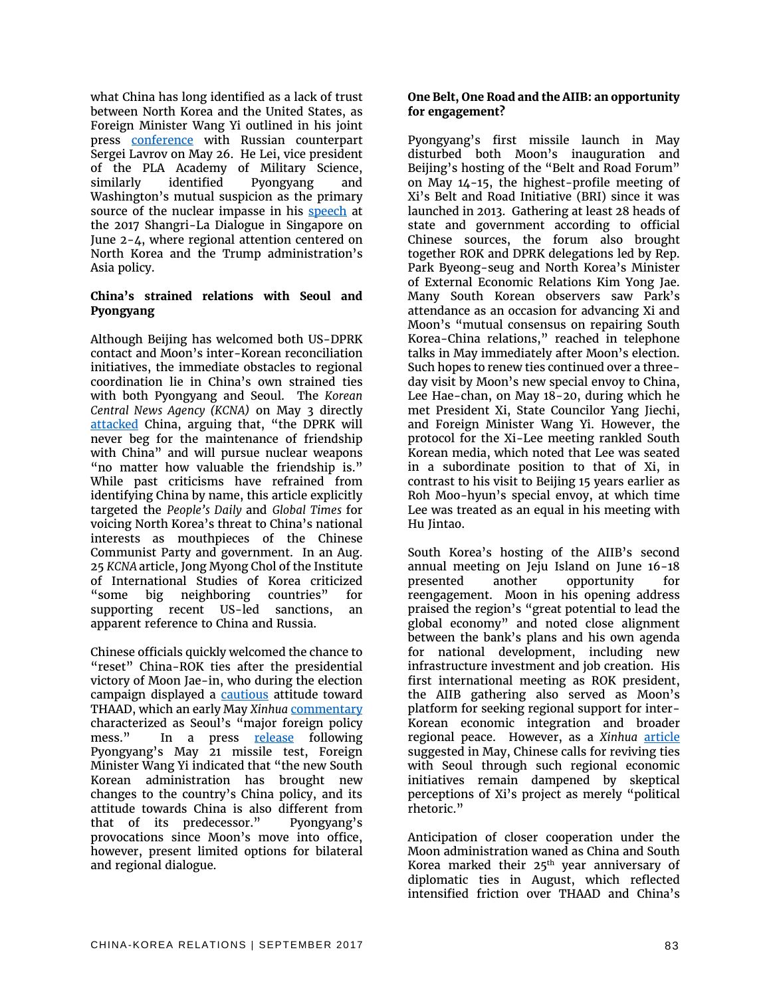what China has long identified as a lack of trust between North Korea and the United States, as Foreign Minister Wang Yi outlined in his joint press [conference](http://news.xinhuanet.com/english/2017-05/27/c_136319832.htm) with Russian counterpart Sergei Lavrov on May 26. He Lei, vice president of the PLA Academy of Military Science, similarly identified Pyongyang and Washington's mutual suspicion as the primary source of the nuclear impasse in his [speech](https://www.iiss.org/en/events/shangri-la-dialogue/archive/shangri-la-dialogue-2017-4f77/special-sessions-7894/session-2-c938) at the 2017 Shangri-La Dialogue in Singapore on June 2-4, where regional attention centered on North Korea and the Trump administration's Asia policy.

#### **China's strained relations with Seoul and Pyongyang**

Although Beijing has welcomed both US-DPRK contact and Moon's inter-Korean reconciliation initiatives, the immediate obstacles to regional coordination lie in China's own strained ties with both Pyongyang and Seoul. The *Korean Central News Agency (KCNA)* on May 3 directly [attacked](http://dprk-doc.com/en/archives/1040) China, arguing that, "the DPRK will never beg for the maintenance of friendship with China" and will pursue nuclear weapons "no matter how valuable the friendship is." While past criticisms have refrained from identifying China by name, this article explicitly targeted the *People's Daily* and *Global Times* for voicing North Korea's threat to China's national interests as mouthpieces of the Chinese Communist Party and government. In an Aug. 25 *KCNA* article, Jong Myong Chol of the Institute of International Studies of Korea criticized "some big neighboring countries" for supporting recent US-led sanctions, an apparent reference to China and Russia.

Chinese officials quickly welcomed the chance to "reset" China-ROK ties after the presidential victory of Moon Jae-in, who during the election campaign displayed a [cautious](https://www.washingtonpost.com/news/worldviews/wp/2017/05/02/interview-with-moon-jae-in-set-to-become-south-koreas-next-president/?utm_term=.179ecc023487) attitude toward THAAD, which an early May *Xinhua* [commentary](http://news.xinhuanet.com/english/2017-05/10/c_136271485.htm) characterized as Seoul's "major foreign policy mess." In a press [release](http://news.xinhuanet.com/english/2017-05/23/c_136307785.htm) following Pyongyang's May 21 missile test, Foreign Minister Wang Yi indicated that "the new South Korean administration has brought new changes to the country's China policy, and its attitude towards China is also different from that of its predecessor." Pyongyang's provocations since Moon's move into office, however, present limited options for bilateral and regional dialogue.

#### **One Belt, One Road and the AIIB: an opportunity for engagement?**

Pyongyang's first missile launch in May disturbed both Moon's inauguration and Beijing's hosting of the "Belt and Road Forum" on May 14-15, the highest-profile meeting of Xi's Belt and Road Initiative (BRI) since it was launched in 2013. Gathering at least 28 heads of state and government according to official Chinese sources, the forum also brought together ROK and DPRK delegations led by Rep. Park Byeong-seug and North Korea's Minister of External Economic Relations Kim Yong Jae. Many South Korean observers saw Park's attendance as an occasion for advancing Xi and Moon's "mutual consensus on repairing South Korea-China relations," reached in telephone talks in May immediately after Moon's election. Such hopes to renew ties continued over a threeday visit by Moon's new special envoy to China, Lee Hae-chan, on May 18-20, during which he met President Xi, State Councilor Yang Jiechi, and Foreign Minister Wang Yi. However, the protocol for the Xi-Lee meeting rankled South Korean media, which noted that Lee was seated in a subordinate position to that of Xi, in contrast to his visit to Beijing 15 years earlier as Roh Moo-hyun's special envoy, at which time Lee was treated as an equal in his meeting with Hu Jintao.

South Korea's hosting of the AIIB's second annual meeting on Jeju Island on June 16-18 presented another opportunity for reengagement. Moon in his opening address praised the region's "great potential to lead the global economy" and noted close alignment between the bank's plans and his own agenda for national development, including new infrastructure investment and job creation. His first international meeting as ROK president, the AIIB gathering also served as Moon's platform for seeking regional support for inter-Korean economic integration and broader regional peace. However, as a *Xinhua* [article](http://news.xinhuanet.com/english/2017-05/15/c_136285696.htm) suggested in May, Chinese calls for reviving ties with Seoul through such regional economic initiatives remain dampened by skeptical perceptions of Xi's project as merely "political rhetoric."

Anticipation of closer cooperation under the Moon administration waned as China and South Korea marked their  $25<sup>th</sup>$  year anniversary of diplomatic ties in August, which reflected intensified friction over THAAD and China's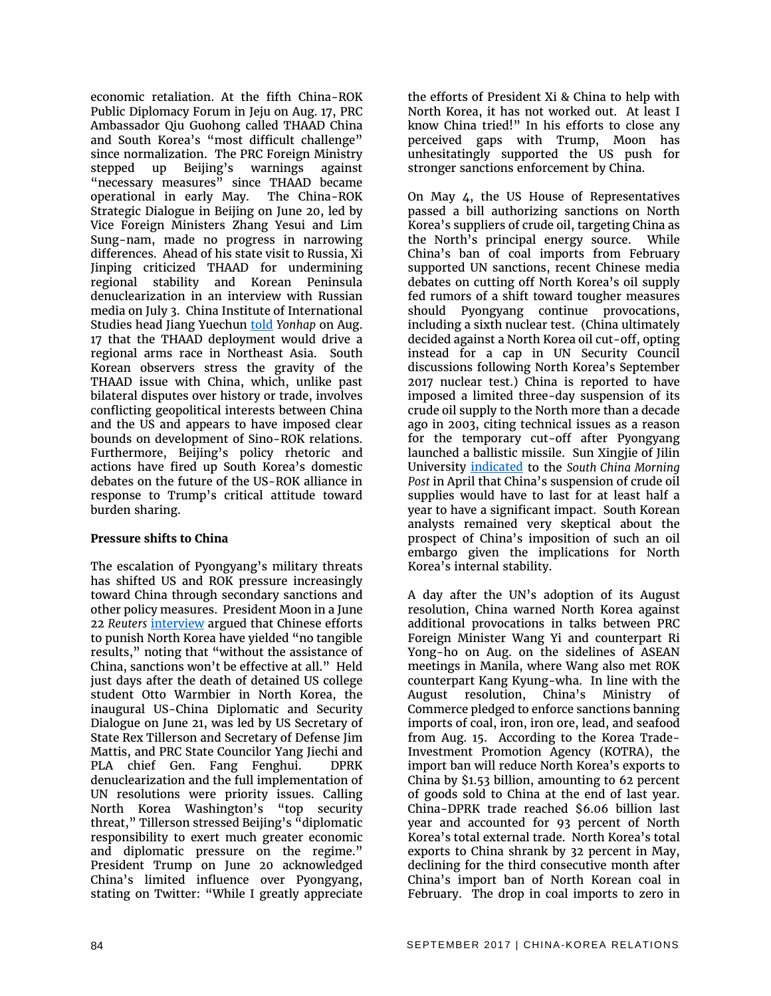economic retaliation. At the fifth China-ROK Public Diplomacy Forum in Jeju on Aug. 17, PRC Ambassador Qiu Guohong called THAAD China and South Korea's "most difficult challenge" since normalization. The PRC Foreign Ministry stepped up Beijing's warnings against "necessary measures" since THAAD became operational in early May. The China-ROK Strategic Dialogue in Beijing on June 20, led by Vice Foreign Ministers Zhang Yesui and Lim Sung-nam, made no progress in narrowing differences. Ahead of his state visit to Russia, Xi Jinping criticized THAAD for undermining regional stability and Korean Peninsula denuclearization in an interview with Russian media on July 3. China Institute of International Studies head Jiang Yuechun [told](http://english.yonhapnews.co.kr/search1/2603000000.html?cid=AEN20170817006851315) *Yonhap* on Aug. 17 that the THAAD deployment would drive a regional arms race in Northeast Asia. South Korean observers stress the gravity of the THAAD issue with China, which, unlike past bilateral disputes over history or trade, involves conflicting geopolitical interests between China and the US and appears to have imposed clear bounds on development of Sino-ROK relations. Furthermore, Beijing's policy rhetoric and actions have fired up South Korea's domestic debates on the future of the US-ROK alliance in response to Trump's critical attitude toward burden sharing.

#### **Pressure shifts to China**

The escalation of Pyongyang's military threats has shifted US and ROK pressure increasingly toward China through secondary sanctions and other policy measures. President Moon in a June 22 *Reuters* [interview](https://www.reuters.com/article/us-southkorea-politics-moon-exclusive/exclusive-south-korea-president-calls-on-chinas-xi-to-do-more-on-north-korea-nuclear-program-idUSKBN19D0VR) argued that Chinese efforts to punish North Korea have yielded "no tangible results," noting that "without the assistance of China, sanctions won't be effective at all." Held just days after the death of detained US college student Otto Warmbier in North Korea, the inaugural US-China Diplomatic and Security Dialogue on June 21, was led by US Secretary of State Rex Tillerson and Secretary of Defense Jim Mattis, and PRC State Councilor Yang Jiechi and PLA chief Gen. Fang Fenghui. DPRK denuclearization and the full implementation of UN resolutions were priority issues. Calling North Korea Washington's "top security threat," Tillerson stressed Beijing's "diplomatic responsibility to exert much greater economic and diplomatic pressure on the regime." President Trump on June 20 acknowledged China's limited influence over Pyongyang, stating on Twitter: "While I greatly appreciate

the efforts of President Xi & China to help with North Korea, it has not worked out. At least I know China tried!" In his efforts to close any perceived gaps with Trump, Moon has unhesitatingly supported the US push for stronger sanctions enforcement by China.

On May 4, the US House of Representatives passed a bill authorizing sanctions on North Korea's suppliers of crude oil, targeting China as the North's principal energy source. While China's ban of coal imports from February supported UN sanctions, recent Chinese media debates on cutting off North Korea's oil supply fed rumors of a shift toward tougher measures should Pyongyang continue provocations, including a sixth nuclear test. (China ultimately decided against a North Korea oil cut-off, opting instead for a cap in UN Security Council discussions following North Korea's September 2017 nuclear test.) China is reported to have imposed a limited three-day suspension of its crude oil supply to the North more than a decade ago in 2003, citing technical issues as a reason for the temporary cut-off after Pyongyang launched a ballistic missile. Sun Xingjie of Jilin University [indicated](http://www.scmp.com/news/china/diplomacy-defence/article/2091588/china-might-agree-un-oil-embargo-north-korea) to the *South China Morning Post* in April that China's suspension of crude oil supplies would have to last for at least half a year to have a significant impact. South Korean analysts remained very skeptical about the prospect of China's imposition of such an oil embargo given the implications for North Korea's internal stability.

A day after the UN's adoption of its August resolution, China warned North Korea against additional provocations in talks between PRC Foreign Minister Wang Yi and counterpart Ri Yong-ho on Aug. on the sidelines of ASEAN meetings in Manila, where Wang also met ROK counterpart Kang Kyung-wha. In line with the August resolution, China's Ministry of Commerce pledged to enforce sanctions banning imports of coal, iron, iron ore, lead, and seafood from Aug. 15. According to the Korea Trade-Investment Promotion Agency (KOTRA), the import ban will reduce North Korea's exports to China by \$1.53 billion, amounting to 62 percent of goods sold to China at the end of last year. China-DPRK trade reached \$6.06 billion last year and accounted for 93 percent of North Korea's total external trade. North Korea's total exports to China shrank by 32 percent in May, declining for the third consecutive month after China's import ban of North Korean coal in February. The drop in coal imports to zero in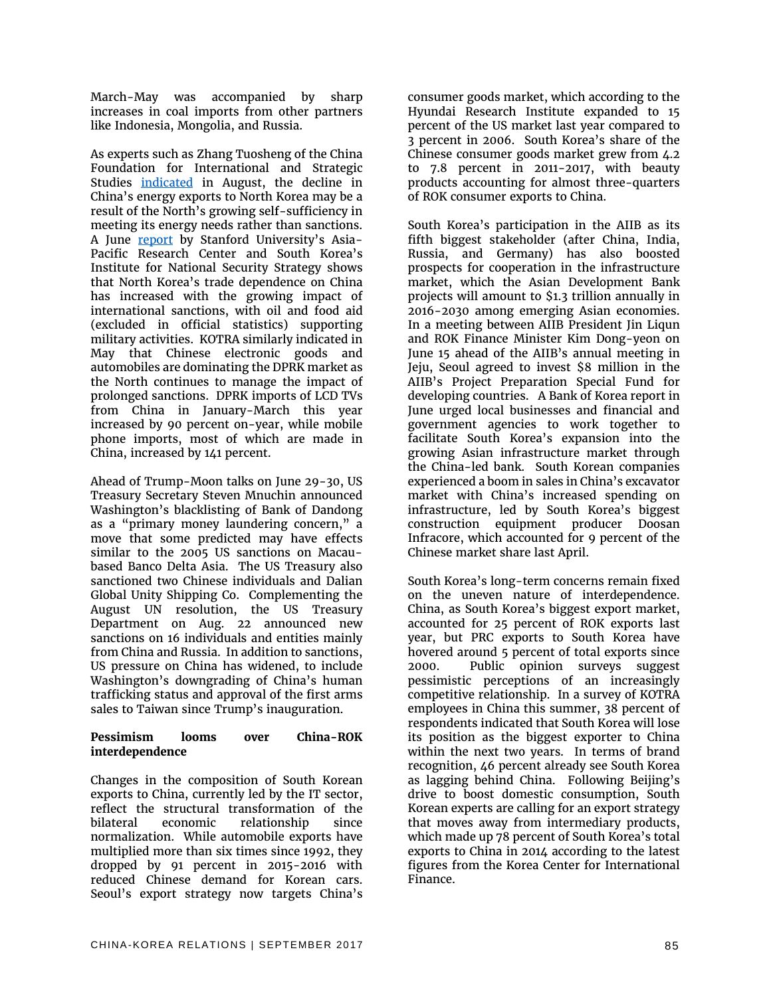March-May was accompanied by sharp increases in coal imports from other partners like Indonesia, Mongolia, and Russia.

As experts such as Zhang Tuosheng of the China Foundation for International and Strategic Studies [indicated](http://www.scmp.com/news/china/diplomacy-defence/article/2106873/china-energy-exports-north-korea-fall-sharply) in August, the decline in China's energy exports to North Korea may be a result of the North's growing self-sufficiency in meeting its energy needs rather than sanctions. A June [report](https://aparc.fsi.stanford.edu/sites/default/files/aparc-inss_joint_dprk_paper_6-1-2017.pdf) by Stanford University's Asia-Pacific Research Center and South Korea's Institute for National Security Strategy shows that North Korea's trade dependence on China has increased with the growing impact of international sanctions, with oil and food aid (excluded in official statistics) supporting military activities. KOTRA similarly indicated in May that Chinese electronic goods and automobiles are dominating the DPRK market as the North continues to manage the impact of prolonged sanctions. DPRK imports of LCD TVs from China in January-March this year increased by 90 percent on-year, while mobile phone imports, most of which are made in China, increased by 141 percent.

Ahead of Trump-Moon talks on June 29-30, US Treasury Secretary Steven Mnuchin announced Washington's blacklisting of Bank of Dandong as a "primary money laundering concern," a move that some predicted may have effects similar to the 2005 US sanctions on Macaubased Banco Delta Asia. The US Treasury also sanctioned two Chinese individuals and Dalian Global Unity Shipping Co. Complementing the August UN resolution, the US Treasury Department on Aug. 22 announced new sanctions on 16 individuals and entities mainly from China and Russia. In addition to sanctions, US pressure on China has widened, to include Washington's downgrading of China's human trafficking status and approval of the first arms sales to Taiwan since Trump's inauguration.

#### **Pessimism looms over China-ROK interdependence**

Changes in the composition of South Korean exports to China, currently led by the IT sector, reflect the structural transformation of the bilateral economic relationship since normalization. While automobile exports have multiplied more than six times since 1992, they dropped by 91 percent in 2015-2016 with reduced Chinese demand for Korean cars. Seoul's export strategy now targets China's

consumer goods market, which according to the Hyundai Research Institute expanded to 15 percent of the US market last year compared to 3 percent in 2006. South Korea's share of the Chinese consumer goods market grew from 4.2 to 7.8 percent in 2011-2017, with beauty products accounting for almost three-quarters of ROK consumer exports to China.

South Korea's participation in the AIIB as its fifth biggest stakeholder (after China, India, Russia, and Germany) has also boosted prospects for cooperation in the infrastructure market, which the Asian Development Bank projects will amount to \$1.3 trillion annually in 2016-2030 among emerging Asian economies. In a meeting between AIIB President Jin Liqun and ROK Finance Minister Kim Dong-yeon on June 15 ahead of the AIIB's annual meeting in Jeju, Seoul agreed to invest \$8 million in the AIIB's Project Preparation Special Fund for developing countries. A Bank of Korea report in June urged local businesses and financial and government agencies to work together to facilitate South Korea's expansion into the growing Asian infrastructure market through the China-led bank. South Korean companies experienced a boom in sales in China's excavator market with China's increased spending on infrastructure, led by South Korea's biggest construction equipment producer Doosan Infracore, which accounted for 9 percent of the Chinese market share last April.

South Korea's long-term concerns remain fixed on the uneven nature of interdependence. China, as South Korea's biggest export market, accounted for 25 percent of ROK exports last year, but PRC exports to South Korea have hovered around 5 percent of total exports since 2000. Public opinion surveys suggest pessimistic perceptions of an increasingly competitive relationship. In a survey of KOTRA employees in China this summer, 38 percent of respondents indicated that South Korea will lose its position as the biggest exporter to China within the next two years. In terms of brand recognition, 46 percent already see South Korea as lagging behind China. Following Beijing's drive to boost domestic consumption, South Korean experts are calling for an export strategy that moves away from intermediary products, which made up 78 percent of South Korea's total exports to China in 2014 according to the latest figures from the Korea Center for International Finance.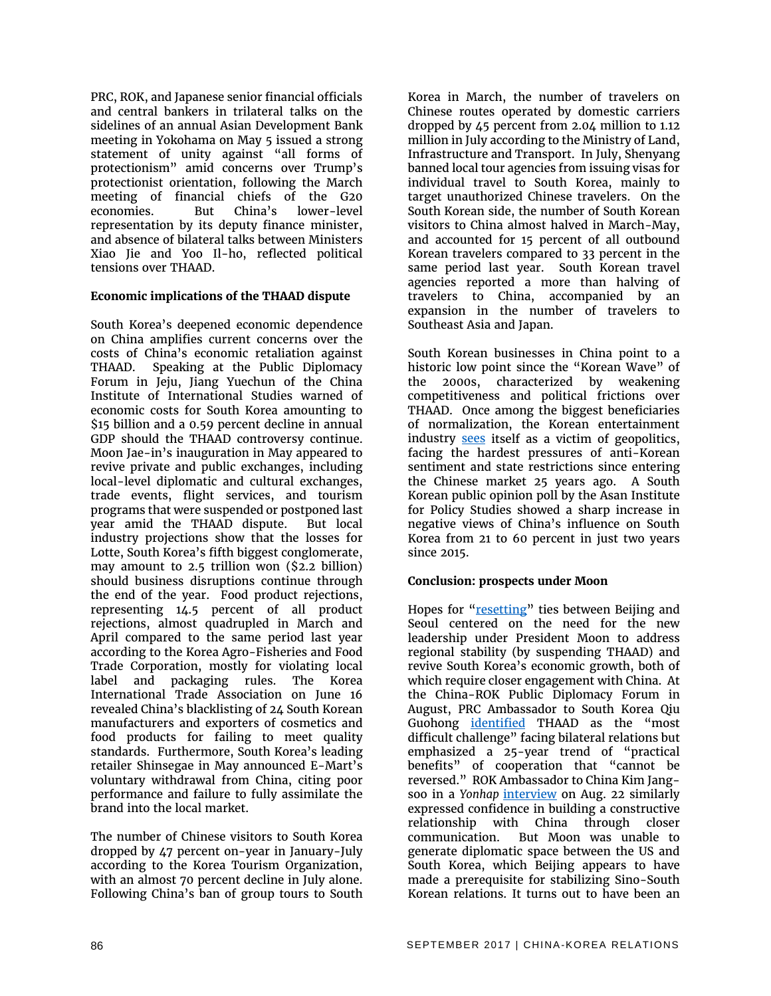PRC, ROK, and Japanese senior financial officials and central bankers in trilateral talks on the sidelines of an annual Asian Development Bank meeting in Yokohama on May 5 issued a strong statement of unity against "all forms of protectionism" amid concerns over Trump's protectionist orientation, following the March meeting of financial chiefs of the G20 economies. But China's lower-level representation by its deputy finance minister, and absence of bilateral talks between Ministers Xiao Jie and Yoo Il-ho, reflected political tensions over THAAD.

#### **Economic implications of the THAAD dispute**

South Korea's deepened economic dependence on China amplifies current concerns over the costs of China's economic retaliation against THAAD. Speaking at the Public Diplomacy Forum in Jeju, Jiang Yuechun of the China Institute of International Studies warned of economic costs for South Korea amounting to \$15 billion and a 0.59 percent decline in annual GDP should the THAAD controversy continue. Moon Jae-in's inauguration in May appeared to revive private and public exchanges, including local-level diplomatic and cultural exchanges, trade events, flight services, and tourism programs that were suspended or postponed last year amid the THAAD dispute. But local industry projections show that the losses for Lotte, South Korea's fifth biggest conglomerate, may amount to 2.5 trillion won (\$2.2 billion) should business disruptions continue through the end of the year. Food product rejections, representing 14.5 percent of all product rejections, almost quadrupled in March and April compared to the same period last year according to the Korea Agro-Fisheries and Food Trade Corporation, mostly for violating local label and packaging rules. The Korea International Trade Association on June 16 revealed China's blacklisting of 24 South Korean manufacturers and exporters of cosmetics and food products for failing to meet quality standards. Furthermore, South Korea's leading retailer Shinsegae in May announced E-Mart's voluntary withdrawal from China, citing poor performance and failure to fully assimilate the brand into the local market.

The number of Chinese visitors to South Korea dropped by 47 percent on-year in January-July according to the Korea Tourism Organization, with an almost 70 percent decline in July alone. Following China's ban of group tours to South Korea in March, the number of travelers on Chinese routes operated by domestic carriers dropped by 45 percent from 2.04 million to 1.12 million in July according to the Ministry of Land, Infrastructure and Transport. In July, Shenyang banned local tour agencies from issuing visas for individual travel to South Korea, mainly to target unauthorized Chinese travelers. On the South Korean side, the number of South Korean visitors to China almost halved in March-May, and accounted for 15 percent of all outbound Korean travelers compared to 33 percent in the same period last year. South Korean travel agencies reported a more than halving of travelers to China, accompanied by an expansion in the number of travelers to Southeast Asia and Japan.

South Korean businesses in China point to a historic low point since the "Korean Wave" of the 2000s, characterized by weakening competitiveness and political frictions over THAAD. Once among the biggest beneficiaries of normalization, the Korean entertainment industry [sees](http://english.yonhapnews.co.kr/search1/2603000000.html?cid=AEN20170818004600315) itself as a victim of geopolitics, facing the hardest pressures of anti-Korean sentiment and state restrictions since entering the Chinese market 25 years ago. A South Korean public opinion poll by the Asan Institute for Policy Studies showed a sharp increase in negative views of China's influence on South Korea from 21 to 60 percent in just two years since 2015.

#### **Conclusion: prospects under Moon**

Hopes for ["resetting"](http://news.xinhuanet.com/english/2017-05/10/c_136271485.htm) ties between Beijing and Seoul centered on the need for the new leadership under President Moon to address regional stability (by suspending THAAD) and revive South Korea's economic growth, both of which require closer engagement with China. At the China-ROK Public Diplomacy Forum in August, PRC Ambassador to South Korea Qiu Guohong [identified](http://english.yonhapnews.co.kr/search1/2603000000.html?cid=AEN20170818003800315) THAAD as the "most difficult challenge" facing bilateral relations but emphasized a 25-year trend of "practical benefits" of cooperation that "cannot be reversed." ROK Ambassador to China Kim Jangsoo in a *Yonhap* [interview](http://english.yonhapnews.co.kr/search1/2603000000.html?cid=AEN20170821006000315) on Aug. 22 similarly expressed confidence in building a constructive relationship with China through closer communication. But Moon was unable to generate diplomatic space between the US and South Korea, which Beijing appears to have made a prerequisite for stabilizing Sino-South Korean relations. It turns out to have been an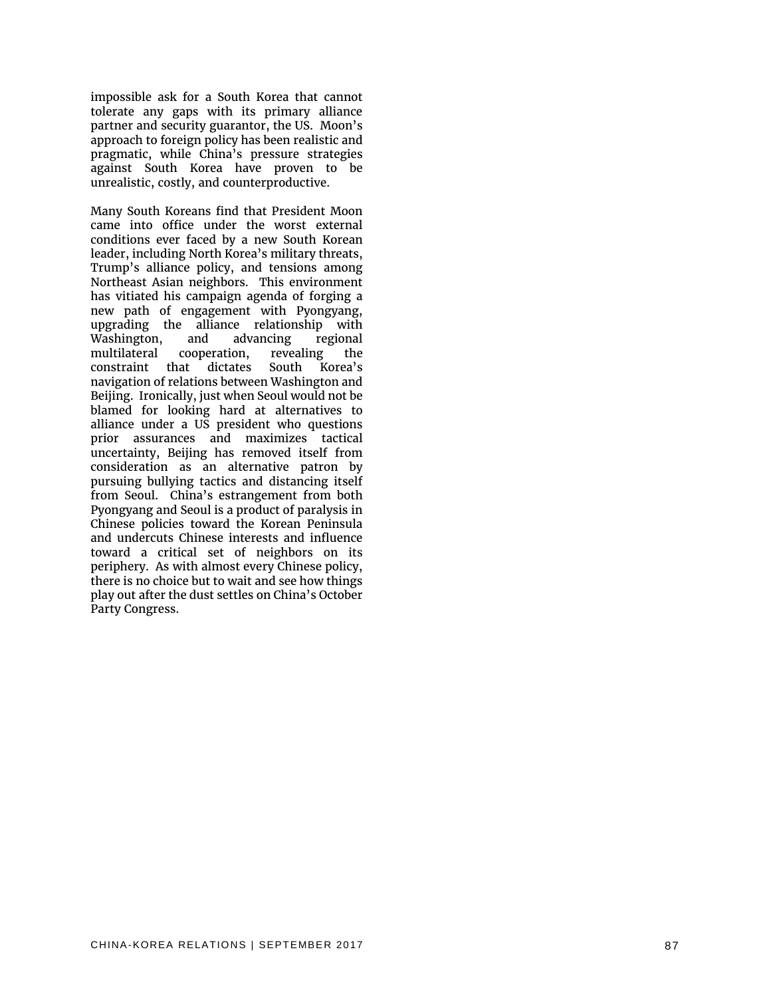impossible ask for a South Korea that cannot tolerate any gaps with its primary alliance partner and security guarantor, the US. Moon's approach to foreign policy has been realistic and pragmatic, while China's pressure strategies against South Korea have proven to be unrealistic, costly, and counterproductive.

Many South Koreans find that President Moon came into office under the worst external conditions ever faced by a new South Korean leader, including North Korea's military threats, Trump's alliance policy, and tensions among Northeast Asian neighbors. This environment has vitiated his campaign agenda of forging a new path of engagement with Pyongyang, upgrading the alliance relationship with Washington, and advancing regional<br>multilateral cooperation, revealing the multilateral cooperation, revealing the constraint that dictates South Korea's navigation of relations between Washington and Beijing. Ironically, just when Seoul would not be blamed for looking hard at alternatives to alliance under a US president who questions prior assurances and maximizes tactical uncertainty, Beijing has removed itself from consideration as an alternative patron by pursuing bullying tactics and distancing itself from Seoul. China's estrangement from both Pyongyang and Seoul is a product of paralysis in Chinese policies toward the Korean Peninsula and undercuts Chinese interests and influence toward a critical set of neighbors on its periphery. As with almost every Chinese policy, there is no choice but to wait and see how things play out after the dust settles on China's October Party Congress.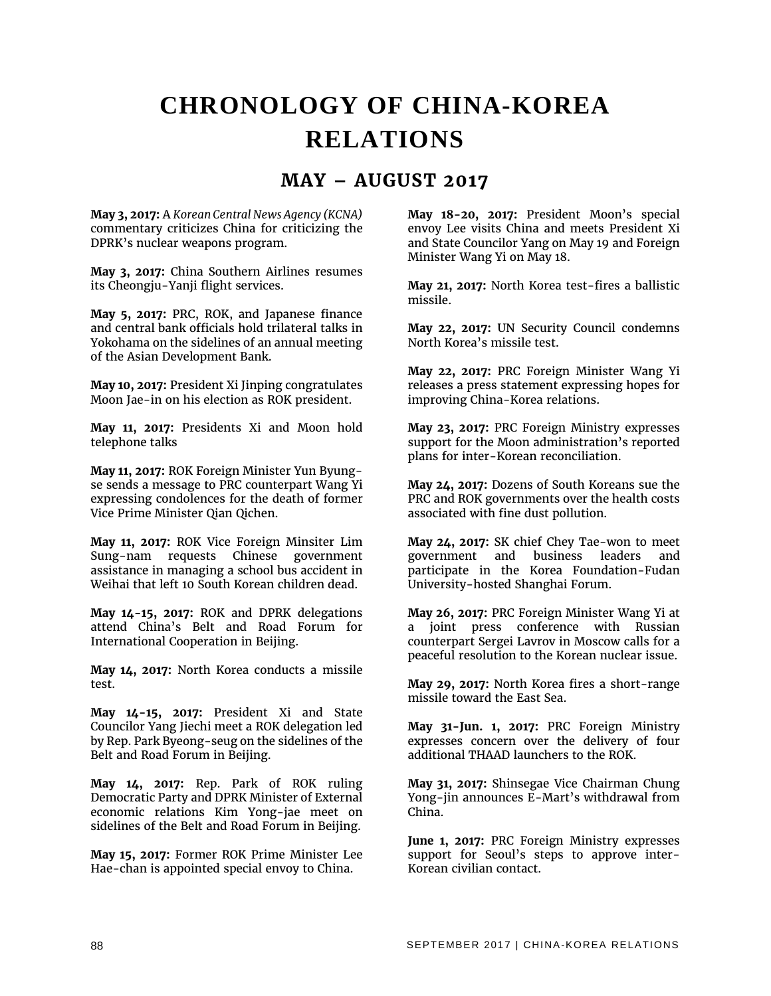## **CHRONOLOGY OF CHINA-KOREA RELATIONS**

#### **MAY – AUGUST 2017**

**May 3, 2017:** A *Korean Central News Agency (KCNA)*  commentary criticizes China for criticizing the DPRK's nuclear weapons program.

**May 3, 2017:** China Southern Airlines resumes its Cheongju-Yanji flight services.

**May 5, 2017:** PRC, ROK, and Japanese finance and central bank officials hold trilateral talks in Yokohama on the sidelines of an annual meeting of the Asian Development Bank.

**May 10, 2017:** President Xi Jinping congratulates Moon Jae-in on his election as ROK president.

**May 11, 2017:** Presidents Xi and Moon hold telephone talks

**May 11, 2017:** ROK Foreign Minister Yun Byungse sends a message to PRC counterpart Wang Yi expressing condolences for the death of former Vice Prime Minister Qian Qichen.

**May 11, 2017:** ROK Vice Foreign Minsiter Lim Sung-nam requests Chinese government assistance in managing a school bus accident in Weihai that left 10 South Korean children dead.

**May 14-15, 2017:** ROK and DPRK delegations attend China's Belt and Road Forum for International Cooperation in Beijing.

**May 14, 2017:** North Korea conducts a missile test.

**May 14-15, 2017:** President Xi and State Councilor Yang Jiechi meet a ROK delegation led by Rep. Park Byeong-seug on the sidelines of the Belt and Road Forum in Beijing.

**May 14, 2017:** Rep. Park of ROK ruling Democratic Party and DPRK Minister of External economic relations Kim Yong-jae meet on sidelines of the Belt and Road Forum in Beijing.

**May 15, 2017:** Former ROK Prime Minister Lee Hae-chan is appointed special envoy to China.

**May 18-20, 2017:** President Moon's special envoy Lee visits China and meets President Xi and State Councilor Yang on May 19 and Foreign Minister Wang Yi on May 18.

**May 21, 2017:** North Korea test-fires a ballistic missile.

**May 22, 2017:** UN Security Council condemns North Korea's missile test.

**May 22, 2017:** PRC Foreign Minister Wang Yi releases a press statement expressing hopes for improving China-Korea relations.

**May 23, 2017:** PRC Foreign Ministry expresses support for the Moon administration's reported plans for inter-Korean reconciliation.

**May 24, 2017:** Dozens of South Koreans sue the PRC and ROK governments over the health costs associated with fine dust pollution.

**May 24, 2017:** SK chief Chey Tae-won to meet government and business leaders and participate in the Korea Foundation-Fudan University-hosted Shanghai Forum.

**May 26, 2017:** PRC Foreign Minister Wang Yi at a joint press conference with Russian counterpart Sergei Lavrov in Moscow calls for a peaceful resolution to the Korean nuclear issue.

**May 29, 2017:** North Korea fires a short-range missile toward the East Sea.

**May 31-Jun. 1, 2017:** PRC Foreign Ministry expresses concern over the delivery of four additional THAAD launchers to the ROK.

**May 31, 2017:** Shinsegae Vice Chairman Chung Yong-jin announces E-Mart's withdrawal from China.

**June 1, 2017:** PRC Foreign Ministry expresses support for Seoul's steps to approve inter-Korean civilian contact.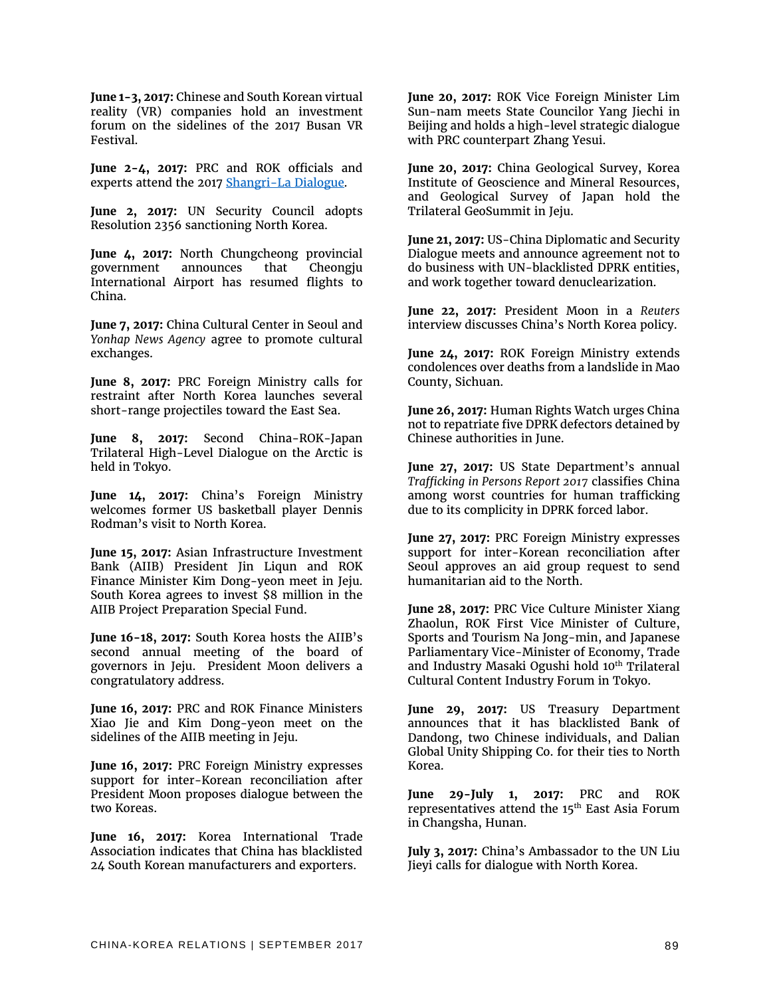**June 1-3, 2017:** Chinese and South Korean virtual reality (VR) companies hold an investment forum on the sidelines of the 2017 Busan VR Festival.

**June 2-4, 2017:** PRC and ROK officials and experts attend the 2017 [Shangri-La Dialogue.](https://www.iiss.org/en/events/shangri-la-dialogue/archive/shangri-la-dialogue-2017-4f77) 

**June 2, 2017:** UN Security Council adopts Resolution 2356 sanctioning North Korea.

**June 4, 2017:** North Chungcheong provincial government announces that Cheongju International Airport has resumed flights to China.

**June 7, 2017:** China Cultural Center in Seoul and *Yonhap News Agency* agree to promote cultural exchanges.

**June 8, 2017:** PRC Foreign Ministry calls for restraint after North Korea launches several short-range projectiles toward the East Sea.

**June 8, 2017:** Second China-ROK-Japan Trilateral High-Level Dialogue on the Arctic is held in Tokyo.

**June 14, 2017:** China's Foreign Ministry welcomes former US basketball player Dennis Rodman's visit to North Korea.

**June 15, 2017:** Asian Infrastructure Investment Bank (AIIB) President Jin Liqun and ROK Finance Minister Kim Dong-yeon meet in Jeju. South Korea agrees to invest \$8 million in the AIIB Project Preparation Special Fund.

**June 16-18, 2017:** South Korea hosts the AIIB's second annual meeting of the board of governors in Jeju. President Moon delivers a congratulatory address.

**June 16, 2017:** PRC and ROK Finance Ministers Xiao Jie and Kim Dong-yeon meet on the sidelines of the AIIB meeting in Jeju.

**June 16, 2017:** PRC Foreign Ministry expresses support for inter-Korean reconciliation after President Moon proposes dialogue between the two Koreas.

**June 16, 2017:** Korea International Trade Association indicates that China has blacklisted 24 South Korean manufacturers and exporters.

**June 20, 2017:** ROK Vice Foreign Minister Lim Sun-nam meets State Councilor Yang Jiechi in Beijing and holds a high-level strategic dialogue with PRC counterpart Zhang Yesui.

**June 20, 2017:** China Geological Survey, Korea Institute of Geoscience and Mineral Resources, and Geological Survey of Japan hold the Trilateral GeoSummit in Jeju.

**June 21, 2017:** US-China Diplomatic and Security Dialogue meets and announce agreement not to do business with UN-blacklisted DPRK entities, and work together toward denuclearization.

**June 22, 2017:** President Moon in a *Reuters* interview discusses China's North Korea policy.

**June 24, 2017:** ROK Foreign Ministry extends condolences over deaths from a landslide in Mao County, Sichuan.

**June 26, 2017:** Human Rights Watch urges China not to repatriate five DPRK defectors detained by Chinese authorities in June.

**June 27, 2017:** US State Department's annual *Trafficking in Persons Report 2017* classifies China among worst countries for human trafficking due to its complicity in DPRK forced labor.

**June 27, 2017:** PRC Foreign Ministry expresses support for inter-Korean reconciliation after Seoul approves an aid group request to send humanitarian aid to the North.

**June 28, 2017:** PRC Vice Culture Minister Xiang Zhaolun, ROK First Vice Minister of Culture, Sports and Tourism Na Jong-min, and Japanese Parliamentary Vice-Minister of Economy, Trade and Industry Masaki Ogushi hold 10<sup>th</sup> Trilateral Cultural Content Industry Forum in Tokyo.

**June 29, 2017:** US Treasury Department announces that it has blacklisted Bank of Dandong, two Chinese individuals, and Dalian Global Unity Shipping Co. for their ties to North Korea.

**June 29-July 1, 2017:** PRC and ROK representatives attend the 15<sup>th</sup> East Asia Forum in Changsha, Hunan.

**July 3, 2017:** China's Ambassador to the UN Liu Jieyi calls for dialogue with North Korea.